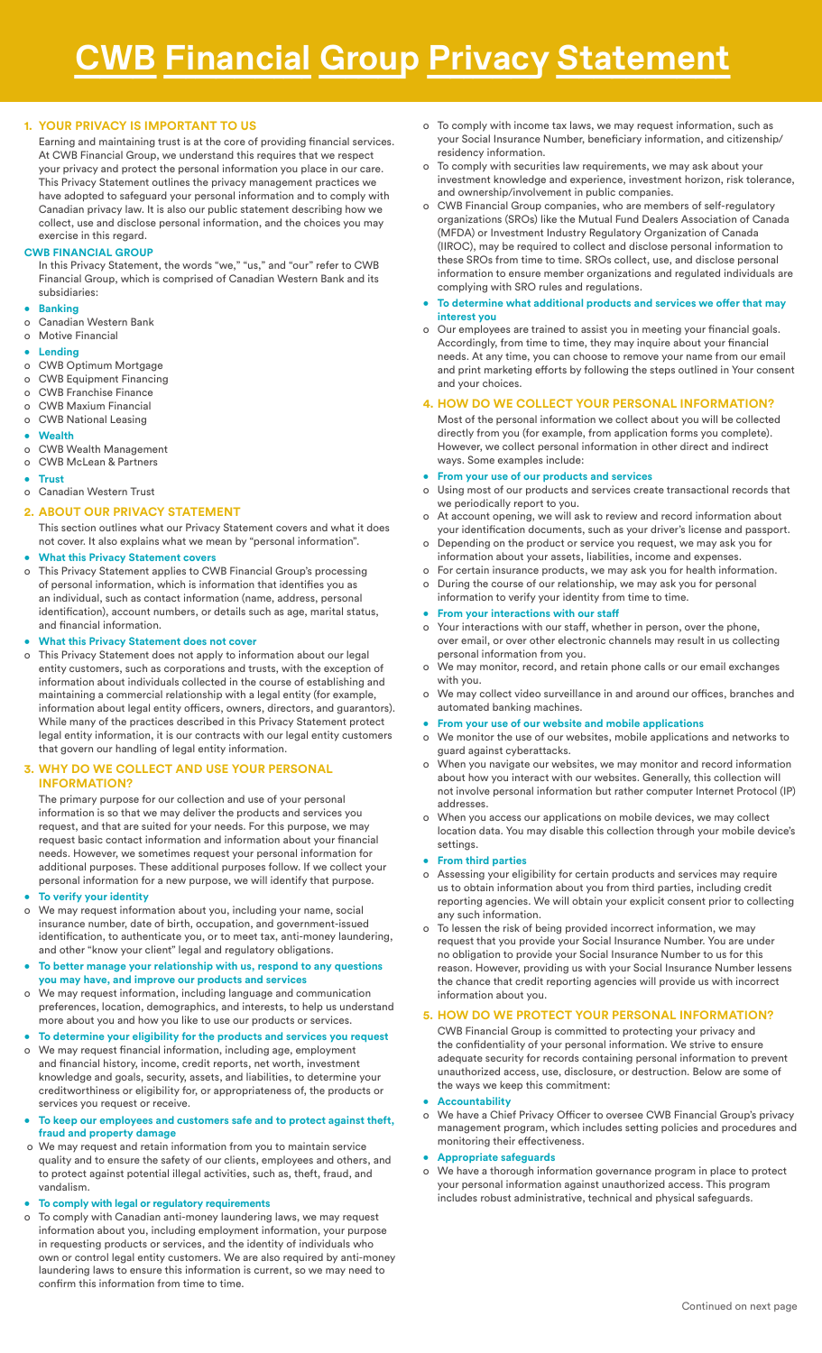## **1. YOUR PRIVACY IS IMPORTANT TO US**

Earning and maintaining trust is at the core of providing financial services. At CWB Financial Group, we understand this requires that we respect your privacy and protect the personal information you place in our care. This Privacy Statement outlines the privacy management practices we have adopted to safeguard your personal information and to comply with Canadian privacy law. It is also our public statement describing how we collect, use and disclose personal information, and the choices you may exercise in this regard.

## **CWB FINANCIAL GROUP**

In this Privacy Statement, the words "we," "us," and "our" refer to CWB Financial Group, which is comprised of Canadian Western Bank and its subsidiaries:

# **• Banking**

o Canadian Western Bank

# o Motive Financial

# **• Lending**

- o CWB Optimum Mortgage
- o CWB Equipment Financing o CWB Franchise Finance
- o CWB Maxium Financial
- **CWB National Leasing**

#### **• Wealth**

- o CWB Wealth Management
- o CWB McLean & Partners
- **• Trust**

## o Canadian Western Trust

### **2. ABOUT OUR PRIVACY STATEMENT**

This section outlines what our Privacy Statement covers and what it does not cover. It also explains what we mean by "personal information".

# **• What this Privacy Statement covers**

o This Privacy Statement applies to CWB Financial Group's processing of personal information, which is information that identifies you as an individual, such as contact information (name, address, personal identification), account numbers, or details such as age, marital status, and financial information.

## **• What this Privacy Statement does not cover**

o This Privacy Statement does not apply to information about our legal entity customers, such as corporations and trusts, with the exception of information about individuals collected in the course of establishing and maintaining a commercial relationship with a legal entity (for example, information about legal entity officers, owners, directors, and guarantors). While many of the practices described in this Privacy Statement protect legal entity information, it is our contracts with our legal entity customers that govern our handling of legal entity information.

## **3. WHY DO WE COLLECT AND USE YOUR PERSONAL INFORMATION?**

The primary purpose for our collection and use of your personal information is so that we may deliver the products and services you request, and that are suited for your needs. For this purpose, we may request basic contact information and information about your financial needs. However, we sometimes request your personal information for additional purposes. These additional purposes follow. If we collect your personal information for a new purpose, we will identify that purpose.

#### **• To verify your identity**

- We may request information about you, including your name, social insurance number, date of birth, occupation, and government-issued identification, to authenticate you, or to meet tax, anti-money laundering, and other "know your client" legal and regulatory obligations.
- **• To better manage your relationship with us, respond to any questions you may have, and improve our products and services**
- o We may request information, including language and communication preferences, location, demographics, and interests, to help us understand more about you and how you like to use our products or services.
- **• To determine your eligibility for the products and services you request**
- o We may request financial information, including age, employment and financial history, income, credit reports, net worth, investment knowledge and goals, security, assets, and liabilities, to determine your creditworthiness or eligibility for, or appropriateness of, the products or services you request or receive.

### **• To keep our employees and customers safe and to protect against theft, fraud and property damage**

 o We may request and retain information from you to maintain service quality and to ensure the safety of our clients, employees and others, and to protect against potential illegal activities, such as, theft, fraud, and vandalism.

### **• To comply with legal or regulatory requirements**

To comply with Canadian anti-money laundering laws, we may request information about you, including employment information, your purpose in requesting products or services, and the identity of individuals who own or control legal entity customers. We are also required by anti-money laundering laws to ensure this information is current, so we may need to confirm this information from time to time.

- o To comply with income tax laws, we may request information, such as your Social Insurance Number, beneficiary information, and citizenship/ residency information.
- To comply with securities law requirements, we may ask about your investment knowledge and experience, investment horizon, risk tolerance, and ownership/involvement in public companies.
- CWB Financial Group companies, who are members of self-regulatory organizations (SROs) like the Mutual Fund Dealers Association of Canada (MFDA) or Investment Industry Regulatory Organization of Canada (IIROC), may be required to collect and disclose personal information to these SROs from time to time. SROs collect, use, and disclose personal information to ensure member organizations and regulated individuals are complying with SRO rules and regulations.
- **• To determine what additional products and services we offer that may interest you**
- o Our employees are trained to assist you in meeting your financial goals. Accordingly, from time to time, they may inquire about your financial needs. At any time, you can choose to remove your name from our email and print marketing efforts by following the steps outlined in Your consent and your choices.

# **4. HOW DO WE COLLECT YOUR PERSONAL INFORMATION?**

- Most of the personal information we collect about you will be collected directly from you (for example, from application forms you complete). However, we collect personal information in other direct and indirect ways. Some examples include:
- **• From your use of our products and services**
- o Using most of our products and services create transactional records that we periodically report to you.
- o At account opening, we will ask to review and record information about your identification documents, such as your driver's license and passport.
- o Depending on the product or service you request, we may ask you for information about your assets, liabilities, income and expenses.
- o For certain insurance products, we may ask you for health information. o During the course of our relationship, we may ask you for personal
- information to verify your identity from time to time.
- **• From your interactions with our staff**
- o Your interactions with our staff, whether in person, over the phone, over email, or over other electronic channels may result in us collecting personal information from you.
- o We may monitor, record, and retain phone calls or our email exchanges with you.
- We may collect video surveillance in and around our offices, branches and automated banking machines.
- **• From your use of our website and mobile applications**
- o We monitor the use of our websites, mobile applications and networks to guard against cyberattacks.
- o When you navigate our websites, we may monitor and record information about how you interact with our websites. Generally, this collection will not involve personal information but rather computer Internet Protocol (IP) addresses.
- o When you access our applications on mobile devices, we may collect location data. You may disable this collection through your mobile device's settings.

#### **• From third parties**

- Assessing your eligibility for certain products and services may require us to obtain information about you from third parties, including credit reporting agencies. We will obtain your explicit consent prior to collecting any such information.
- To lessen the risk of being provided incorrect information, we may request that you provide your Social Insurance Number. You are under no obligation to provide your Social Insurance Number to us for this reason. However, providing us with your Social Insurance Number lessens the chance that credit reporting agencies will provide us with incorrect information about you.

### **5. HOW DO WE PROTECT YOUR PERSONAL INFORMATION?**

CWB Financial Group is committed to protecting your privacy and the confidentiality of your personal information. We strive to ensure adequate security for records containing personal information to prevent unauthorized access, use, disclosure, or destruction. Below are some of the ways we keep this commitment:

### **• Accountability**

o We have a Chief Privacy Officer to oversee CWB Financial Group's privacy management program, which includes setting policies and procedures and monitoring their effectiveness.

## **• Appropriate safeguards**

o We have a thorough information governance program in place to protect your personal information against unauthorized access. This program includes robust administrative, technical and physical safeguards.